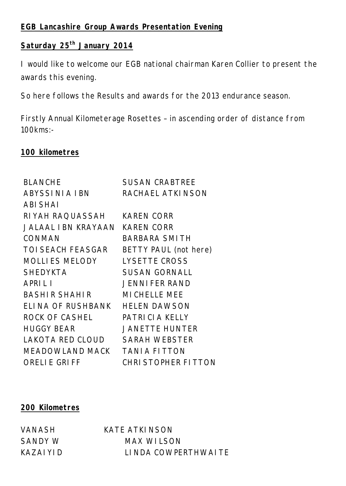## **EGB Lancashire Group Awards Presentation Evening**

# **Saturday 25th January 2014**

I would like to welcome our EGB national chairman Karen Collier to present the awards this evening.

So here follows the Results and awards for the 2013 endurance season.

Firstly Annual Kilometerage Rosettes – in ascending order of distance from 100kms:-

## **100 kilometres**

| <b>SUSAN CRABTREE</b> |
|-----------------------|
| RACHAEL ATKINSON      |
|                       |
| <b>KAREN CORR</b>     |
| <b>KAREN CORR</b>     |
| <b>BARBARA SMITH</b>  |
| BETTY PAUL (not here) |
| <b>LYSETTE CROSS</b>  |
| <b>SUSAN GORNALL</b>  |
| <b>JENNIFER RAND</b>  |
| <b>MICHELLE MEE</b>   |
| <b>HELEN DAWSON</b>   |
| PATRICIA KELLY        |
| <b>JANETTE HUNTER</b> |
| <b>SARAH WEBSTER</b>  |
| <b>TANIA FITTON</b>   |
| CHRI STOPHER FITTON   |
| JALAAL I BN KRAYAAN   |

## **200 Kilometres**

VANASH KATE ATKINSON SANDY W MAX WILSON KAZAIYID LINDA COWPERTHWAITE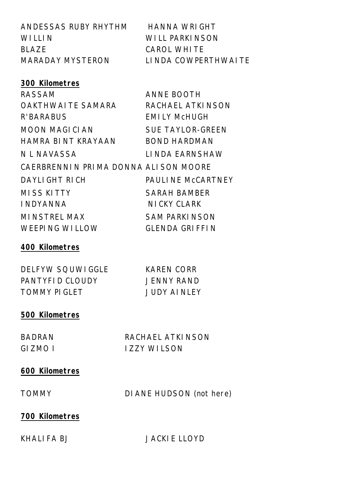| ANDESSAS RUBY RHYTHM                 | <b>HANNA WRIGHT</b>      |
|--------------------------------------|--------------------------|
| <b>WILLIN</b>                        | <b>WILL PARKINSON</b>    |
| <b>BLAZE</b>                         | <b>CAROL WHITE</b>       |
| <b>MARADAY MYSTERON</b>              | LINDA COWPERTHWAITE      |
|                                      |                          |
| 300 Kilometres                       |                          |
| <b>RASSAM</b>                        | <b>ANNE BOOTH</b>        |
| OAKTHWAI TE SAMARA                   | RACHAEL ATKINSON         |
| R'BARABUS                            | <b>EMILY MCHUGH</b>      |
| MOON MAGICIAN                        | <b>SUE TAYLOR-GREEN</b>  |
| HAMRA BINT KRAYAAN                   | <b>BOND HARDMAN</b>      |
| N L NAVASSA                          | LINDA EARNSHAW           |
| CAERBRENNIN PRIMA DONNA ALISON MOORE |                          |
| DAYLI GHT RICH                       | <b>PAULINE MCCARTNEY</b> |
| <b>MISS KITTY</b>                    | <b>SARAH BAMBER</b>      |
| <b>INDYANNA</b>                      | NI CKY CLARK             |
| <b>MINSTREL MAX</b>                  | <b>SAM PARKINSON</b>     |
| <b>WEEPING WILLOW</b>                | <b>GLENDA GRIFFIN</b>    |
| 400 Kilometres                       |                          |

| <b>DELFYW SOUWIGGLE</b> |  |
|-------------------------|--|
| PANTYFID CLOUDY         |  |
| <b>TOMMY PIGLET</b>     |  |

KAREN CORR **JENNY RAND JUDY AINLEY** 

## **500 Kilometres**

BADRAN RACHAEL ATKINSON GIZMO I IZZY WILSON

#### **600 Kilometres**

TOMMY DIANE HUDSON (not here)

## **700 Kilometres**

KHALIFA BJ JACKIE LLOYD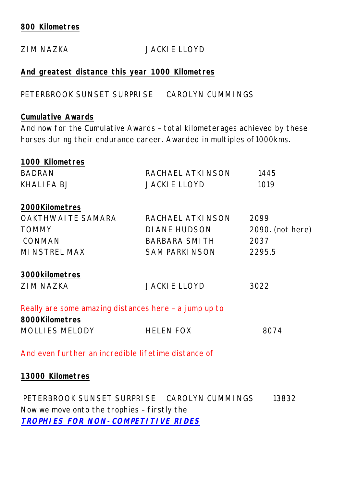#### **800 Kilometres**

# ZIM NAZKA JACKIE LLOYD **And greatest distance this year 1000 Kilometres** PETERBROOK SUNSET SURPRISE CAROLYN CUMMINGS **Cumulative Awards** And now for the Cumulative Awards – total kilometerages achieved by these horses during their endurance career. Awarded in multiples of1000kms. **1000 Kilometres** BADRAN RACHAEL ATKINSON 1445 KHALIFA BJ JACKIE LLOYD 1019 **2000Kilometres** OAKTHWAITE SAMARA RACHAEL ATKINSON 2099 TOMMY DIANE HUDSON 2090. (not here) CONMAN BARBARA SMITH 2037 MINSTREL MAX SAM PARKINSON 2295.5 **3000kilometres** ZIM NAZKA JACKIE LLOYD 3022 Really are some amazing distances here – a jump up to **8000Kilometres** MOLLIES MELODY HELEN FOX 8074 And even further an incredible lifetime distance of

**13000 Kilometres** 

PETERBROOK SUNSET SURPRISE CAROLYN CUMMINGS 13832 Now we move onto the trophies – firstly the *TROPHIES FOR NON-COMPETITIVE RIDES*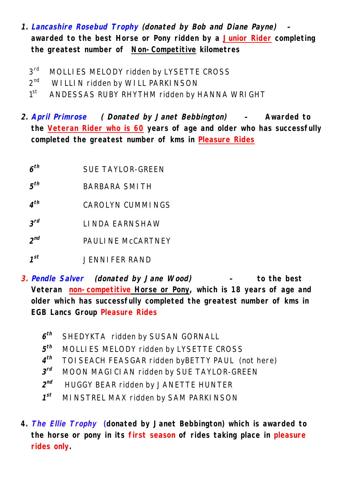- *1. Lancashire Rosebud Trophy (donated by Bob and Diane Payne) –* **awarded to the best Horse or Pony ridden by a Junior Rider completing the greatest number of Non-Competitive kilometres** 
	- $3<sup>rd</sup>$ MOLLIES MELODY ridden by LYSETTE CROSS
	- $2<sup>nd</sup>$ WILLIN ridden by WILL PARKINSON
	- $1<sup>st</sup>$ ANDESSAS RUBY RHYTHM ridden by HANNA WRIGHT
- *2. April Primrose ( Donated by Janet Bebbington) –* **Awarded to the Veteran Rider who is 60 years of age and older who has successfully completed the greatest number of kms in Pleasure Rides**
	- *6 th* SUE TAYLOR-GREEN
	- *5 th* BARBARA SMITH
	- *4 th* CAROLYN CUMMINGS
	- *3 rd* LINDA EARNSHAW
	- *2 nd* PAULINE McCARTNEY
	- *1 st* JENNIFER RAND
- *3. Pendle Salver (donated by Jane Wood) –* **to the best Veteran non-competitive Horse or Pony, which is 18 years of age and older which has successfully completed the greatest number of kms in EGB Lancs Group Pleasure Rides**
	- *6* **SHEDYKTA ridden by SUSAN GORNALL**
	- *5* MOLLIES MELODY ridden by LYSETTE CROSS
	- $4^{th}$ *th* TOISEACH FEASGAR ridden byBETTY PAUL (not here)
	- *3* **MOON MAGICIAN ridden by SUE TAYLOR-GREEN**
	- $2^{nd}$ *nd* HUGGY BEAR ridden by JANETTE HUNTER
	- $1^{st}$ **MINSTREL MAX ridden by SAM PARKINSON**
- **4.** *The Ellie Trophy* **(donated by Janet Bebbington) which is awarded to the horse or pony in its first season of rides taking place in pleasure rides only.**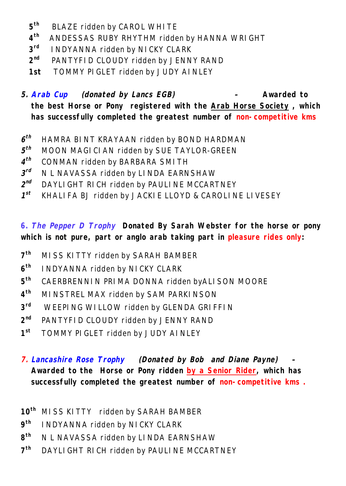- **5 BLAZE ridden by CAROL WHITE**
- **4 th** ANDESSAS RUBY RHYTHM ridden by HANNA WRIGHT
- **3 INDYANNA ridden by NICKY CLARK**
- **2 PANTYFID CLOUDY ridden by JENNY RAND**
- **1st** TOMMY PIGLET ridden by JUDY AINLEY

*5. Arab Cup (donated by Lancs EGB) –* **Awarded to the best Horse or Pony registered with the Arab Horse Society , which has successfully completed the greatest number of non-competitive kms**

- *6 th* HAMRA BINT KRAYAAN ridden by BOND HARDMAN
- *5 th* MOON MAGICIAN ridden by SUE TAYLOR-GREEN
- *4 th* CONMAN ridden by BARBARA SMITH
- *3 N* L NAVASSA ridden by LINDA EARNSHAW
- $2^{nd}$ DAYLIGHT RICH ridden by PAULINE MCCARTNEY
- $1^{st}$ *st* KHALIFA BJ ridden by JACKIE LLOYD & CAROLINE LIVESEY

**6.** *The Pepper D Trophy* **Donated By Sarah Webster for the horse or pony which is not pure, part or anglo arab taking part in pleasure rides only:**

- $7<sup>th</sup>$ **th** MISS KITTY ridden by SARAH BAMBER
- **6 th** INDYANNA ridden by NICKY CLARK
- **5 th** CAERBRENNIN PRIMA DONNA ridden byALISON MOORE
- **4 th** MINSTREL MAX ridden by SAM PARKINSON
- **3** WEEPING WILLOW ridden by GLENDA GRIFFIN
- $2^{nd}$ PANTYFID CLOUDY ridden by JENNY RAND
- $1<sup>st</sup>$ **st** TOMMY PIGLET ridden by JUDY AINLEY
- *7. Lancashire Rose Trophy (Donated by Bob and Diane Payne) –* Awarded to the Horse or Pony ridden by a Senior Rider, which has **successfully completed the greatest number of non-competitive kms .**

**10th** MISS KITTY ridden by SARAH BAMBER

- **9 th** INDYANNA ridden by NICKY CLARK
- **8 th** N L NAVASSA ridden by LINDA EARNSHAW
- $7<sup>th</sup>$ **th** DAYLIGHT RICH ridden by PAULINE MCCARTNEY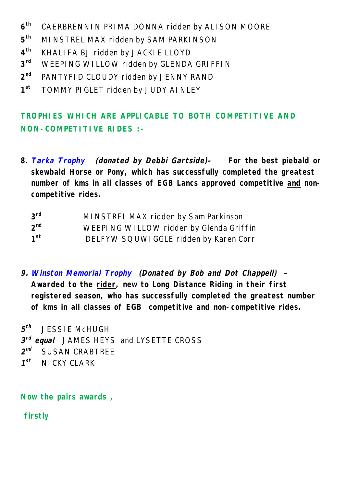- **6 th** CAERBRENNIN PRIMA DONNA ridden by ALISON MOORE
- **5 MINSTREL MAX ridden by SAM PARKINSON**
- **4 th** KHALIFA BJ ridden by JACKIE LLOYD
- **3** WEEPING WILLOW ridden by GLENDA GRIFFIN
- 2<sup>nd</sup> PANTYFID CLOUDY ridden by JENNY RAND
- $1<sup>st</sup>$ **st** TOMMY PIGLET ridden by JUDY AINLEY

## **TROPHIES WHICH ARE APPLICABLE TO BOTH COMPETITIVE AND NON-COMPETITIVE RIDES :-**

**8.** *Tarka Trophy (donated by Debbi Gartside)–* **For the best piebald or skewbald Horse or Pony, which has successfully completed the greatest number of kms in all classes of EGB Lancs approved competitive and noncompetitive rides.**

| $3^{\text{rd}}$ | MI NSTREL MAX ridden by Sam Parkinson   |
|-----------------|-----------------------------------------|
| $2^{nd}$        | WEEPING WILLOW ridden by Glenda Griffin |
| 1 <sup>st</sup> | DELFYW SQUWI GGLE ridden by Karen Corr  |

*9. Winston Memorial Trophy (Donated by Bob and Dot Chappell) –* **Awarded to the rider, new to Long Distance Riding in their first registered season, who has successfully completed the greatest number of kms in all classes of EGB competitive and non-competitive rides.** 

*5 th* JESSIE McHUGH *3 rd equal* JAMES HEYS and LYSETTE CROSS  $2^{nd}$ *nd* SUSAN CRABTREE  $7^{st}$ **NICKY CLARK** 

**Now the pairs awards ,** 

**firstly**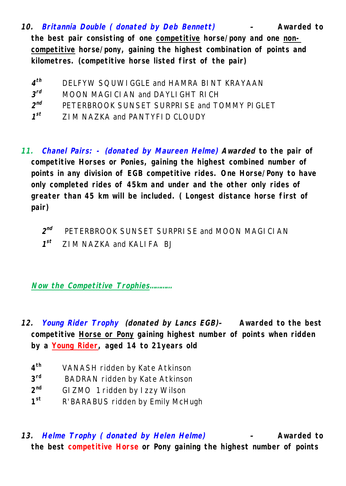- *10. Britannia Double ( donated by Deb Bennett) –* **Awarded to the best pair consisting of one competitive horse/pony and one noncompetitive horse/pony, gaining the highest combination of points and kilometres. (competitive horse listed first of the pair)**
	- $4^{th}$ *th* DELFYW SQUWIGGLE and HAMRA BINT KRAYAAN
	- *3* **MOON MAGICIAN and DAYLIGHT RICH**
	- *2 nd* PETERBROOK SUNSET SURPRISE and TOMMY PIGLET
	- $1^{st}$ *st* ZIM NAZKA and PANTYFID CLOUDY
- *11. Chanel Pairs: - (donated by Maureen Helme) Awarded* **to the pair of competitive Horses or Ponies, gaining the highest combined number of points in any division of EGB competitive rides. One Horse/Pony to have only completed rides of 45km and under and the other only rides of greater than 45 km will be included. ( Longest distance horse first of pair)**
	- *2 nd* PETERBROOK SUNSET SURPRISE and MOON MAGICIAN
	- $1^{st}$ *st* ZIM NAZKA and KALIFA BJ

*Now the Competitive Trophies…………*

- *12. Young Rider Trophy (donated by Lancs EGB)–* **Awarded to the best competitive Horse or Pony gaining highest number of points when ridden by a Young Rider, aged 14 to 21years old** 
	- **4 th** VANASH ridden by Kate Atkinson
	- **3 BADRAN ridden by Kate Atkinson**
	- $2^{nd}$ **GIZMO 1 ridden by Izzy Wilson**
	- $1<sup>st</sup>$ **st** R'BARABUS ridden by Emily McHugh
- *13. Helme Trophy ( donated by Helen Helme) –* **Awarded to the best competitive Horse or Pony gaining the highest number of points**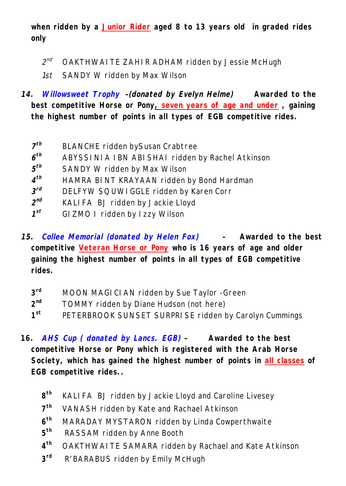**when ridden by a Junior Rider aged 8 to 13 years old in graded rides only**

- $2^{nd}$ *nd* OAKTHWAITE ZAHIR ADHAM ridden by Jessie McHugh
- *1st* SANDY W ridden by Max Wilson
- *14. Willowsweet Trophy –(donated by Evelyn Helme)* **Awarded to the best competitive Horse or Pony, seven years of age and under , gaining the highest number of points in all types of EGB competitive rides.**
	- *7* **BLANCHE ridden bySusan Crabtree**
	- *6 th* ABYSSINIA IBN ABISHAI ridden by Rachel Atkinson
	- *5* **SANDY W ridden by Max Wilson**
	- *4 th* HAMRA BINT KRAYAAN ridden by Bond Hardman
	- *3* **DELFYW SQUWIGGLE ridden by Karen Corr**
	- $2^{nd}$ KALIFA BJ ridden by Jackie Lloyd
	- *1 st* GIZMO I ridden by Izzy Wilson
- *15. Collee Memorial (donated by Helen Fox) –* **Awarded to the best competitive Veteran Horse or Pony who is 16 years of age and older gaining the highest number of points in all types of EGB competitive rides.** 
	- **3 MOON MAGICIAN ridden by Sue Taylor -Green**
	- $2^{nd}$ TOMMY ridden by Diane Hudson (not here)
	- $1<sup>st</sup>$ PETERBROOK SUNSET SURPRISE ridden by Carolyn Cummings
- **16.** *AHS Cup ( donated by Lancs. EGB) –* **Awarded to the best competitive Horse or Pony which is registered with the Arab Horse Society, which has gained the highest number of points in all classes of EGB competitive rides..** 
	- $8^{th}$ **th** KALIFA BJ ridden by Jackie Lloyd and Caroline Livesey
	- $7<sup>th</sup>$ **th** VANASH ridden by Kate and Rachael Atkinson
	- $6<sup>th</sup>$ **th** MARADAY MYSTARON ridden by Linda Cowperthwaite
	- **5 th** RASSAM ridden by Anne Booth
	- $4^{\text{th}}$ **OAKTHWAITE SAMARA ridden by Rachael and Kate Atkinson**
	- **3** R'BARABUS ridden by Emily McHugh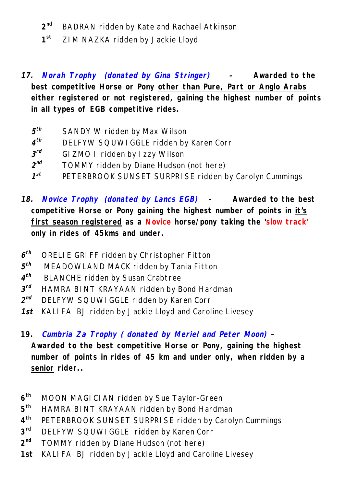- 2<sup>nd</sup> **BADRAN ridden by Kate and Rachael Atkinson**
- $1<sup>st</sup>$ **st** ZIM NAZKA ridden by Jackie Lloyd
- *17. Norah Trophy (donated by Gina Stringer) –* **Awarded to the best competitive Horse or Pony other than Pure, Part or Anglo Arabs either registered or not registered, gaining the highest number of points in all types of EGB competitive rides.** 
	- *5* **SANDY W ridden by Max Wilson**
	- *4* **DELFYW SQUWIGGLE ridden by Karen Corr**
	- *3 GIZMO I ridden by Izzy Wilson*
	- $2^{nd}$ TOMMY ridden by Diane Hudson (not here)
	- *1 st* PETERBROOK SUNSET SURPRISE ridden by Carolyn Cummings
- *18. Novice Trophy (donated by Lancs EGB) –* **Awarded to the best competitive Horse or Pony gaining the highest number of points in it's first season registered as a Novice horse/pony taking the 'slow track' only in rides of 45kms and under.**
- *6* **ORELIE GRIFF ridden by Christopher Fitton**
- *5* MEADOWLAND MACK ridden by Tania Fitton
- *4* **BLANCHE ridden by Susan Crabtree**
- *3 rd* HAMRA BINT KRAYAAN ridden by Bond Hardman
- *2 nd* DELFYW SQUWIGGLE ridden by Karen Corr
- *1st* KALIFA BJ ridden by Jackie Lloyd and Caroline Livesey
- **19.** *Cumbria Za Trophy ( donated by Meriel and Peter Moon) –*

**Awarded to the best competitive Horse or Pony, gaining the highest number of points in rides of 45 km and under only, when ridden by a senior rider..**

- **6 th** MOON MAGICIAN ridden by Sue Taylor-Green
- **5 th** HAMRA BINT KRAYAAN ridden by Bond Hardman
- **4** PETERBROOK SUNSET SURPRISE ridden by Carolyn Cummings
- **3 DELFYW SQUWIGGLE ridden by Karen Corr**
- **2** TOMMY ridden by Diane Hudson (not here)
- **1st** KALIFA BJ ridden by Jackie Lloyd and Caroline Livesey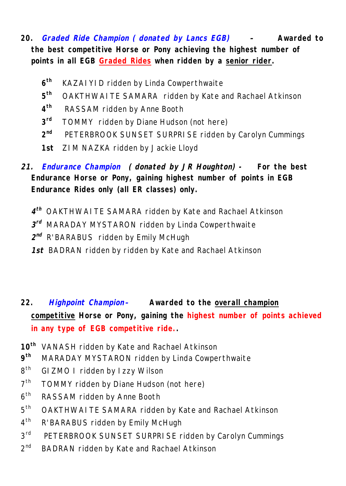- **20.** *Graded Ride Champion ( donated by Lancs EGB) –* **Awarded to the best competitive Horse or Pony achieving the highest number of points in all EGB Graded Rides when ridden by a senior rider.** 
	- $6<sup>th</sup>$ **th** KAZAIYID ridden by Linda Cowperthwaite
	- $5<sup>th</sup>$ **th** OAKTHWAITE SAMARA ridden by Kate and Rachael Atkinson
	- $4^{\text{th}}$ **th** RASSAM ridden by Anne Booth
	- $3<sup>rd</sup>$ TOMMY ridden by Diane Hudson (not here)
	- $2^{nd}$ **PETERBROOK SUNSET SURPRISE ridden by Carolyn Cummings**
	- **1st** ZIM NAZKA ridden by Jackie Lloyd
- *21. Endurance Champion ( donated by JR Houghton) -* **For the best Endurance Horse or Pony, gaining highest number of points in EGB Endurance Rides only (all ER classes) only.** 
	- *4 th* OAKTHWAITE SAMARA ridden by Kate and Rachael Atkinson
	- *3 rd* MARADAY MYSTARON ridden by Linda Cowperthwaite
	- $2^{nd}$  R'BARABUS ridden by Emily McHugh
	- *1st* BADRAN ridden by ridden by Kate and Rachael Atkinson
- **22.** *Highpoint Champion–* **Awarded to the overall champion competitive Horse or Pony, gaining the highest number of points achieved in any type of EGB competitive ride..**
- **10th** VANASH ridden by Kate and Rachael Atkinson
- **9 th** MARADAY MYSTARON ridden by Linda Cowperthwaite
- $R^{th}$ GIZMO I ridden by Izzy Wilson
- $7<sup>th</sup>$ TOMMY ridden by Diane Hudson (not here)
- $6<sup>th</sup>$ RASSAM ridden by Anne Booth
- $5<sup>th</sup>$ OAKTHWAITE SAMARA ridden by Kate and Rachael Atkinson
- $4<sup>th</sup>$ R'BARABUS ridden by Emily McHugh
- $3<sup>rd</sup>$ PETERBROOK SUNSET SURPRISE ridden by Carolyn Cummings
- $2<sup>nd</sup>$ BADRAN ridden by Kate and Rachael Atkinson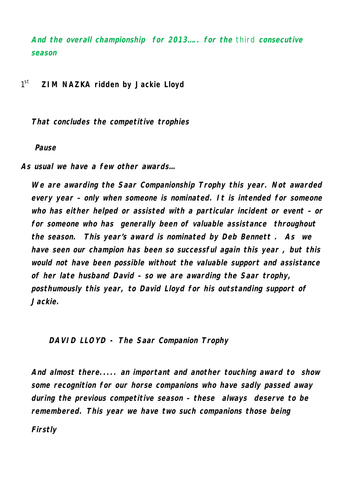*And the overall championship for 2013….. for the* third *consecutive season*

 $1<sup>st</sup>$ st **ZIM NAZKA ridden by Jackie Lloyd**

*That concludes the competitive trophies*

#### *Pause*

*As usual we have a few other awards…*

*We are awarding the Saar Companionship Trophy this year. Not awarded every year – only when someone is nominated. It is intended for someone who has either helped or assisted with a particular incident or event – or for someone who has generally been of valuable assistance throughout the season. This year's award is nominated by Deb Bennett . As we have seen our champion has been so successful again this year , but this would not have been possible without the valuable support and assistance of her late husband David – so we are awarding the Saar trophy, posthumously this year, to David Lloyd for his outstanding support of Jackie.* 

*DAVID LLOYD - The Saar Companion Trophy*

*And almost there..... an important and another touching award to show some recognition for our horse companions who have sadly passed away during the previous competitive season – these always deserve to be remembered. This year we have two such companions those being Firstly*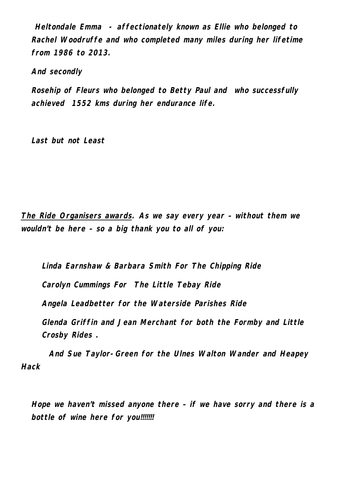*Heltondale Emma - affectionately known as Ellie who belonged to Rachel Woodruffe and who completed many miles during her lifetime from 1986 to 2013.*

*And secondly*

*Rosehip of Fleurs who belonged to Betty Paul and who successfully achieved 1552 kms during her endurance life.*

*Last but not Least* 

*The Ride Organisers awards. As we say every year – without them we wouldn't be here – so a big thank you to all of you:*

*Linda Earnshaw & Barbara Smith For The Chipping Ride Carolyn Cummings For The Little Tebay Ride Angela Leadbetter for the Waterside Parishes Ride Glenda Griffin and Jean Merchant for both the Formby and Little Crosby Rides .*

*And Sue Taylor-Green for the Ulnes Walton Wander and Heapey Hack*

*Hope we haven't missed anyone there – if we have sorry and there is a bottle of wine here for you!!!!!!!*